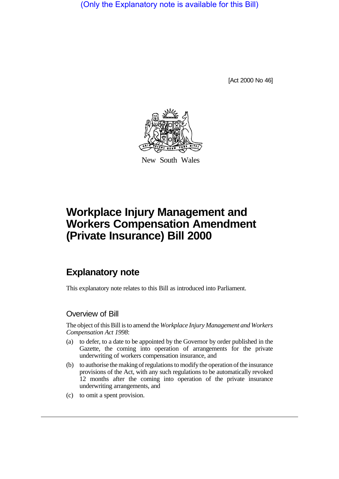(Only the Explanatory note is available for this Bill)

[Act 2000 No 46]



New South Wales

## **Workplace Injury Management and Workers Compensation Amendment (Private Insurance) Bill 2000**

## **Explanatory note**

This explanatory note relates to this Bill as introduced into Parliament.

## Overview of Bill

The object of this Bill is to amend the *Workplace Injury Management and Workers Compensation Act 1998*:

- (a) to defer, to a date to be appointed by the Governor by order published in the Gazette, the coming into operation of arrangements for the private underwriting of workers compensation insurance, and
- (b) to authorise the making of regulations to modify the operation of the insurance provisions of the Act, with any such regulations to be automatically revoked 12 months after the coming into operation of the private insurance underwriting arrangements, and
- (c) to omit a spent provision.